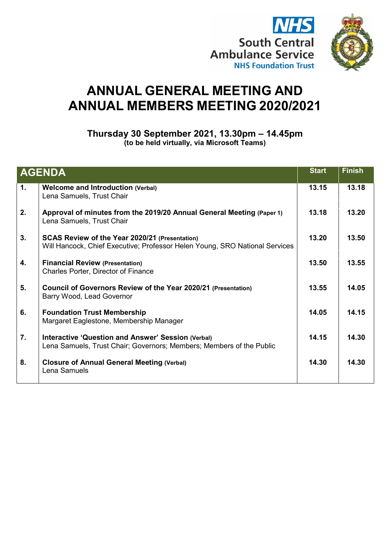



# **ANNUAL GENERAL MEETING AND ANNUAL MEMBERS MEETING 2020/2021**

**Thursday 30 September 2021, 13.30pm – 14.45pm (to be held virtually, via Microsoft Teams)**

| <b>AGENDA</b> |                                                                                                                                   | <b>Start</b> | <b>Finish</b> |
|---------------|-----------------------------------------------------------------------------------------------------------------------------------|--------------|---------------|
| 1.            | <b>Welcome and Introduction (Verbal)</b><br>Lena Samuels, Trust Chair                                                             | 13.15        | 13.18         |
| 2.            | Approval of minutes from the 2019/20 Annual General Meeting (Paper 1)<br>Lena Samuels, Trust Chair                                | 13.18        | 13.20         |
| 3.            | SCAS Review of the Year 2020/21 (Presentation)<br>Will Hancock, Chief Executive; Professor Helen Young, SRO National Services     | 13.20        | 13.50         |
| 4.            | <b>Financial Review (Presentation)</b><br>Charles Porter, Director of Finance                                                     | 13.50        | 13.55         |
| 5.            | Council of Governors Review of the Year 2020/21 (Presentation)<br>Barry Wood, Lead Governor                                       | 13.55        | 14.05         |
| 6.            | <b>Foundation Trust Membership</b><br>Margaret Eaglestone, Membership Manager                                                     | 14.05        | 14.15         |
| 7.            | <b>Interactive 'Question and Answer' Session (Verbal)</b><br>Lena Samuels, Trust Chair; Governors; Members; Members of the Public | 14.15        | 14.30         |
| 8.            | <b>Closure of Annual General Meeting (Verbal)</b><br>Lena Samuels                                                                 | 14.30        | 14.30         |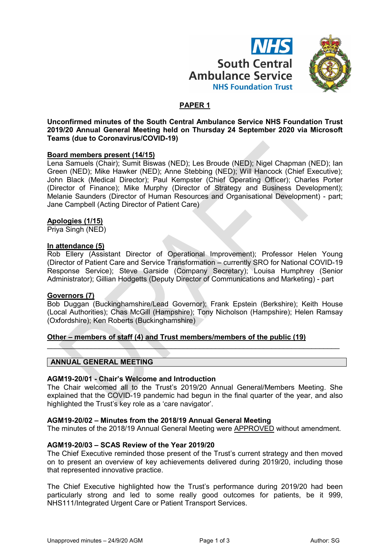



# **PAPER 1**

**Unconfirmed minutes of the South Central Ambulance Service NHS Foundation Trust 2019/20 Annual General Meeting held on Thursday 24 September 2020 via Microsoft Teams (due to Coronavirus/COVID-19)**

#### **Board members present (14/15)**

Lena Samuels (Chair); Sumit Biswas (NED); Les Broude (NED); Nigel Chapman (NED); Ian Green (NED); Mike Hawker (NED); Anne Stebbing (NED); Will Hancock (Chief Executive); John Black (Medical Director); Paul Kempster (Chief Operating Officer); Charles Porter (Director of Finance); Mike Murphy (Director of Strategy and Business Development); Melanie Saunders (Director of Human Resources and Organisational Development) - part; Jane Campbell (Acting Director of Patient Care)

#### **Apologies (1/15)**

Priya Singh (NED)

#### **In attendance (5)**

Rob Ellery (Assistant Director of Operational Improvement); Professor Helen Young (Director of Patient Care and Service Transformation – currently SRO for National COVID-19 Response Service); Steve Garside (Company Secretary); Louisa Humphrey (Senior Administrator); Gillian Hodgetts (Deputy Director of Communications and Marketing) - part

#### **Governors (7)**

Bob Duggan (Buckinghamshire/Lead Governor); Frank Epstein (Berkshire); Keith House (Local Authorities); Chas McGill (Hampshire); Tony Nicholson (Hampshire); Helen Ramsay (Oxfordshire); Ken Roberts (Buckinghamshire)

 $\mathcal{L}=\{x_1,\ldots,x_n\}$ 

# **Other – members of staff (4) and Trust members/members of the public (19)**

# **ANNUAL GENERAL MEETING**

#### **AGM19-20/01 - Chair's Welcome and Introduction**

The Chair welcomed all to the Trust's 2019/20 Annual General/Members Meeting. She explained that the COVID-19 pandemic had begun in the final quarter of the year, and also highlighted the Trust's key role as a 'care navigator'.

#### **AGM19-20/02 – Minutes from the 2018/19 Annual General Meeting**

The minutes of the 2018/19 Annual General Meeting were APPROVED without amendment.

#### **AGM19-20/03 – SCAS Review of the Year 2019/20**

The Chief Executive reminded those present of the Trust's current strategy and then moved on to present an overview of key achievements delivered during 2019/20, including those that represented innovative practice.

The Chief Executive highlighted how the Trust's performance during 2019/20 had been particularly strong and led to some really good outcomes for patients, be it 999, NHS111/Integrated Urgent Care or Patient Transport Services.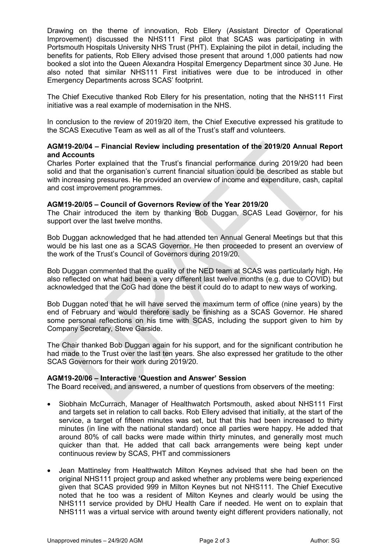Drawing on the theme of innovation, Rob Ellery (Assistant Director of Operational Improvement) discussed the NHS111 First pilot that SCAS was participating in with Portsmouth Hospitals University NHS Trust (PHT). Explaining the pilot in detail, including the benefits for patients, Rob Ellery advised those present that around 1,000 patients had now booked a slot into the Queen Alexandra Hospital Emergency Department since 30 June. He also noted that similar NHS111 First initiatives were due to be introduced in other Emergency Departments across SCAS' footprint.

The Chief Executive thanked Rob Ellery for his presentation, noting that the NHS111 First initiative was a real example of modernisation in the NHS.

In conclusion to the review of 2019/20 item, the Chief Executive expressed his gratitude to the SCAS Executive Team as well as all of the Trust's staff and volunteers.

## **AGM19-20/04 – Financial Review including presentation of the 2019/20 Annual Report and Accounts**

Charles Porter explained that the Trust's financial performance during 2019/20 had been solid and that the organisation's current financial situation could be described as stable but with increasing pressures. He provided an overview of income and expenditure, cash, capital and cost improvement programmes.

## **AGM19-20/05 – Council of Governors Review of the Year 2019/20**

The Chair introduced the item by thanking Bob Duggan, SCAS Lead Governor, for his support over the last twelve months.

Bob Duggan acknowledged that he had attended ten Annual General Meetings but that this would be his last one as a SCAS Governor. He then proceeded to present an overview of the work of the Trust's Council of Governors during 2019/20.

Bob Duggan commented that the quality of the NED team at SCAS was particularly high. He also reflected on what had been a very different last twelve months (e.g. due to COVID) but acknowledged that the CoG had done the best it could do to adapt to new ways of working.

Bob Duggan noted that he will have served the maximum term of office (nine years) by the end of February and would therefore sadly be finishing as a SCAS Governor. He shared some personal reflections on his time with SCAS, including the support given to him by Company Secretary, Steve Garside.

The Chair thanked Bob Duggan again for his support, and for the significant contribution he had made to the Trust over the last ten years. She also expressed her gratitude to the other SCAS Governors for their work during 2019/20.

# **AGM19-20/06 – Interactive 'Question and Answer' Session**

The Board received, and answered, a number of questions from observers of the meeting:

- Siobhain McCurrach, Manager of Healthwatch Portsmouth, asked about NHS111 First and targets set in relation to call backs. Rob Ellery advised that initially, at the start of the service, a target of fifteen minutes was set, but that this had been increased to thirty minutes (in line with the national standard) once all parties were happy. He added that around 80% of call backs were made within thirty minutes, and generally most much quicker than that. He added that call back arrangements were being kept under continuous review by SCAS, PHT and commissioners
- Jean Mattinsley from Healthwatch Milton Keynes advised that she had been on the original NHS111 project group and asked whether any problems were being experienced given that SCAS provided 999 in Milton Keynes but not NHS111. The Chief Executive noted that he too was a resident of Milton Keynes and clearly would be using the NHS111 service provided by DHU Health Care if needed. He went on to explain that NHS111 was a virtual service with around twenty eight different providers nationally, not